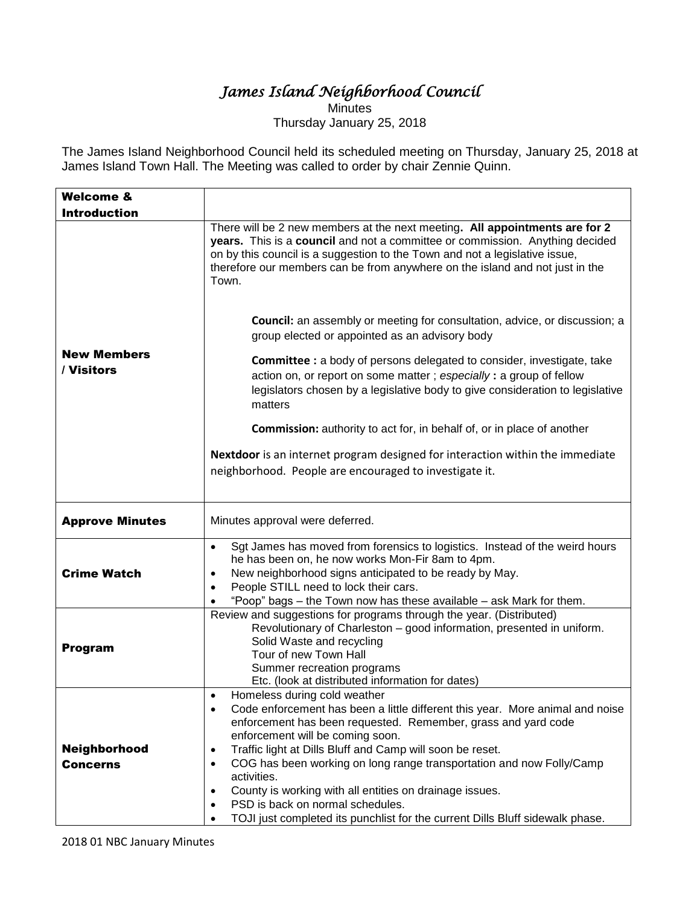## *James Island Neighborhood Council*

**Minutes** Thursday January 25, 2018

The James Island Neighborhood Council held its scheduled meeting on Thursday, January 25, 2018 at James Island Town Hall. The Meeting was called to order by chair Zennie Quinn.

| <b>Welcome &amp;</b>             |                                                                                                                                                                                                                                                                                                                                                                                                                                                                                                                                                                                                                                                                                                                                                                                                                                                                                                 |
|----------------------------------|-------------------------------------------------------------------------------------------------------------------------------------------------------------------------------------------------------------------------------------------------------------------------------------------------------------------------------------------------------------------------------------------------------------------------------------------------------------------------------------------------------------------------------------------------------------------------------------------------------------------------------------------------------------------------------------------------------------------------------------------------------------------------------------------------------------------------------------------------------------------------------------------------|
| <b>Introduction</b>              |                                                                                                                                                                                                                                                                                                                                                                                                                                                                                                                                                                                                                                                                                                                                                                                                                                                                                                 |
| <b>New Members</b><br>/ Visitors | There will be 2 new members at the next meeting. All appointments are for 2<br>years. This is a council and not a committee or commission. Anything decided<br>on by this council is a suggestion to the Town and not a legislative issue,<br>therefore our members can be from anywhere on the island and not just in the<br>Town.<br><b>Council:</b> an assembly or meeting for consultation, advice, or discussion; a<br>group elected or appointed as an advisory body<br><b>Committee :</b> a body of persons delegated to consider, investigate, take<br>action on, or report on some matter; especially: a group of fellow<br>legislators chosen by a legislative body to give consideration to legislative<br>matters<br><b>Commission:</b> authority to act for, in behalf of, or in place of another<br>Nextdoor is an internet program designed for interaction within the immediate |
|                                  | neighborhood. People are encouraged to investigate it.                                                                                                                                                                                                                                                                                                                                                                                                                                                                                                                                                                                                                                                                                                                                                                                                                                          |
|                                  |                                                                                                                                                                                                                                                                                                                                                                                                                                                                                                                                                                                                                                                                                                                                                                                                                                                                                                 |
| <b>Approve Minutes</b>           | Minutes approval were deferred.                                                                                                                                                                                                                                                                                                                                                                                                                                                                                                                                                                                                                                                                                                                                                                                                                                                                 |
| <b>Crime Watch</b>               | Sgt James has moved from forensics to logistics. Instead of the weird hours<br>$\bullet$<br>he has been on, he now works Mon-Fir 8am to 4pm.<br>New neighborhood signs anticipated to be ready by May.<br>$\bullet$<br>People STILL need to lock their cars.<br>$\bullet$<br>"Poop" bags - the Town now has these available - ask Mark for them.                                                                                                                                                                                                                                                                                                                                                                                                                                                                                                                                                |
| <b>Program</b>                   | Review and suggestions for programs through the year. (Distributed)<br>Revolutionary of Charleston - good information, presented in uniform.<br>Solid Waste and recycling<br>Tour of new Town Hall<br>Summer recreation programs<br>Etc. (look at distributed information for dates)                                                                                                                                                                                                                                                                                                                                                                                                                                                                                                                                                                                                            |
| Neighborhood<br><b>Concerns</b>  | Homeless during cold weather<br>$\bullet$<br>Code enforcement has been a little different this year. More animal and noise<br>$\bullet$<br>enforcement has been requested. Remember, grass and yard code<br>enforcement will be coming soon.<br>Traffic light at Dills Bluff and Camp will soon be reset.<br>$\bullet$<br>COG has been working on long range transportation and now Folly/Camp<br>$\bullet$<br>activities.<br>County is working with all entities on drainage issues.<br>$\bullet$<br>PSD is back on normal schedules.<br>٠<br>TOJI just completed its punchlist for the current Dills Bluff sidewalk phase.                                                                                                                                                                                                                                                                    |